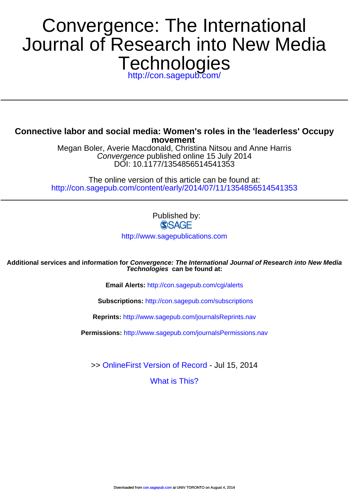# **Technologies** Journal of Research into New Media Convergence: The International

<http://con.sagepub.com/>

**movement Connective labor and social media: Women's roles in the 'leaderless' Occupy**

> DOI: 10.1177/1354856514541353 Convergence published online 15 July 2014 Megan Boler, Averie Macdonald, Christina Nitsou and Anne Harris

<http://con.sagepub.com/content/early/2014/07/11/1354856514541353> The online version of this article can be found at:

> Published by: **SSAGE**

<http://www.sagepublications.com>

**Technologies can be found at: Additional services and information for Convergence: The International Journal of Research into New Media**

**Email Alerts:** <http://con.sagepub.com/cgi/alerts>

**Subscriptions:** <http://con.sagepub.com/subscriptions>

**Reprints:** <http://www.sagepub.com/journalsReprints.nav>

**Permissions:** <http://www.sagepub.com/journalsPermissions.nav>

>> [OnlineFirst Version of Record -](http://con.sagepub.com/content/early/2014/07/11/1354856514541353.full.pdf) Jul 15, 2014

[What is This?](http://online.sagepub.com/site/sphelp/vorhelp.xhtml)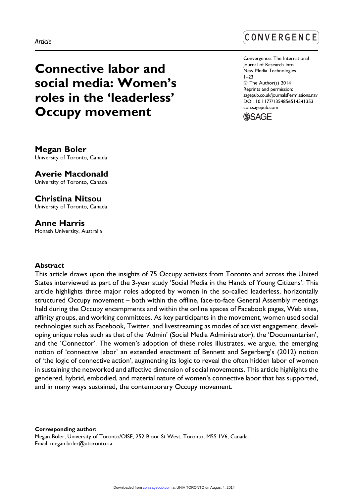Connective labor and social media: Women's roles in the 'leaderless' Occupy movement

CONVERGENCE

Convergence: The International Journal of Research into New Media Technologies 1–23 © The Author(s) 2014 Reprints and permission: [sagepub.co.uk/journalsPermissions.nav](http://www.sagepub.co.uk/journalsPermissions.nav) DOI: 10.1177/1354856514541353 [con.sagepub.com](http://con.sagepub.com)



Megan Boler University of Toronto, Canada

Averie Macdonald University of Toronto, Canada

Christina Nitsou

University of Toronto, Canada

# Anne Harris

Monash University, Australia

## **Abstract**

This article draws upon the insights of 75 Occupy activists from Toronto and across the United States interviewed as part of the 3-year study 'Social Media in the Hands of Young Citizens'. This article highlights three major roles adopted by women in the so-called leaderless, horizontally structured Occupy movement – both within the offline, face-to-face General Assembly meetings held during the Occupy encampments and within the online spaces of Facebook pages, Web sites, affinity groups, and working committees. As key participants in the movement, women used social technologies such as Facebook, Twitter, and livestreaming as modes of activist engagement, developing unique roles such as that of the 'Admin' (Social Media Administrator), the 'Documentarian', and the 'Connector'. The women's adoption of these roles illustrates, we argue, the emerging notion of 'connective labor' an extended enactment of Bennett and Segerberg's (2012) notion of 'the logic of connective action', augmenting its logic to reveal the often hidden labor of women in sustaining the networked and affective dimension of social movements. This article highlights the gendered, hybrid, embodied, and material nature of women's connective labor that has supported, and in many ways sustained, the contemporary Occupy movement.

Corresponding author:

Megan Boler, University of Toronto/OISE, 252 Bloor St West, Toronto, M5S 1V6, Canada. Email: megan.boler@utoronto.ca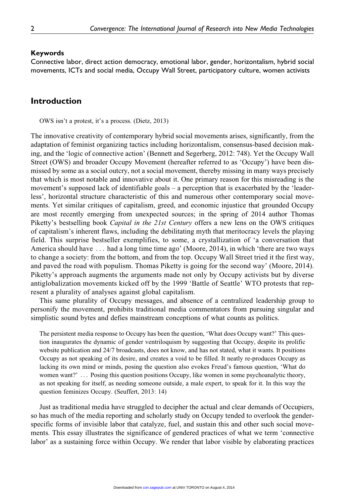#### Keywords

Connective labor, direct action democracy, emotional labor, gender, horizontalism, hybrid social movements, ICTs and social media, Occupy Wall Street, participatory culture, women activists

# Introduction

OWS isn't a protest, it's a process. (Dietz, 2013)

The innovative creativity of contemporary hybrid social movements arises, significantly, from the adaptation of feminist organizing tactics including horizontalism, consensus-based decision making, and the 'logic of connective action' (Bennett and Segerberg, 2012: 748). Yet the Occupy Wall Street (OWS) and broader Occupy Movement (hereafter referred to as 'Occupy') have been dismissed by some as a social outcry, not a social movement, thereby missing in many ways precisely that which is most notable and innovative about it. One primary reason for this misreading is the movement's supposed lack of identifiable goals – a perception that is exacerbated by the 'leaderless', horizontal structure characteristic of this and numerous other contemporary social movements. Yet similar critiques of capitalism, greed, and economic injustice that grounded Occupy are most recently emerging from unexpected sources; in the spring of 2014 author Thomas Piketty's bestselling book *Capital in the 21st Century* offers a new lens on the OWS critiques of capitalism's inherent flaws, including the debilitating myth that meritocracy levels the playing field. This surprise bestseller exemplifies, to some, a crystallization of 'a conversation that America should have ... had a long time time ago' (Moore, 2014), in which 'there are two ways to change a society: from the bottom, and from the top. Occupy Wall Street tried it the first way, and paved the road with populism. Thomas Piketty is going for the second way' (Moore, 2014). Piketty's approach augments the arguments made not only by Occupy activists but by diverse antiglobalization movements kicked off by the 1999 'Battle of Seattle' WTO protests that represent a plurality of analyses against global capitalism.

This same plurality of Occupy messages, and absence of a centralized leadership group to personify the movement, prohibits traditional media commentators from pursuing singular and simplistic sound bytes and defies mainstream conceptions of what counts as politics.

The persistent media response to Occupy has been the question, 'What does Occupy want?' This question inaugurates the dynamic of gender ventriloquism by suggesting that Occupy, despite its prolific website publication and 24/7 broadcasts, does not know, and has not stated, what it wants. It positions Occupy as not speaking of its desire, and creates a void to be filled. It neatly re-produces Occupy as lacking its own mind or minds, posing the question also evokes Freud's famous question, 'What do women want?' ... Posing this question positions Occupy, like women in some psychoanalytic theory, as not speaking for itself, as needing someone outside, a male expert, to speak for it. In this way the question feminizes Occupy. (Seuffert, 2013: 14)

Just as traditional media have struggled to decipher the actual and clear demands of Occupiers, so has much of the media reporting and scholarly study on Occupy tended to overlook the genderspecific forms of invisible labor that catalyze, fuel, and sustain this and other such social movements. This essay illustrates the significance of gendered practices of what we term 'connective labor' as a sustaining force within Occupy. We render that labor visible by elaborating practices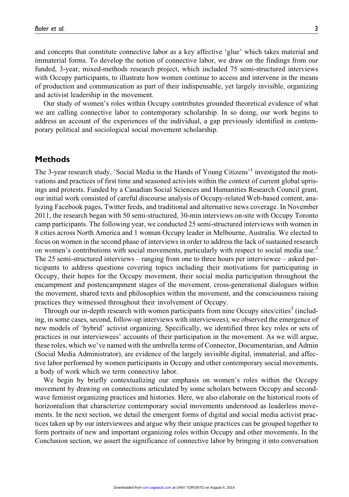and concepts that constitute connective labor as a key affective 'glue' which takes material and immaterial forms. To develop the notion of connective labor, we draw on the findings from our funded, 3-year, mixed-methods research project, which included 75 semi-structured interviews with Occupy participants, to illustrate how women continue to access and intervene in the means of production and communication as part of their indispensable, yet largely invisible, organizing and activist leadership in the movement.

Our study of women's roles within Occupy contributes grounded theoretical evidence of what we are calling connective labor to contemporary scholarship. In so doing, our work begins to address an account of the experiences of the individual, a gap previously identified in contemporary political and sociological social movement scholarship.

## Methods

The 3-year research study, 'Social Media in the Hands of Young Citizens'<sup>1</sup> investigated the motivations and practices of first time and seasoned activists within the context of current global uprisings and protests. Funded by a Canadian Social Sciences and Humanities Research Council grant, our initial work consisted of careful discourse analysis of Occupy-related Web-based content, analyzing Facebook pages, Twitter feeds, and traditional and alternative news coverage. In November 2011, the research began with 50 semi-structured, 30-min interviews on-site with Occupy Toronto camp participants. The following year, we conducted 25 semi-structured interviews with women in 8 cities across North America and 1 woman Occupy leader in Melbourne, Australia. We elected to focus on women in the second phase of interviews in order to address the lack of sustained research on women's contributions with social movements, particularly with respect to social media use.<sup>2</sup> The 25 semi-structured interviews – ranging from one to three hours per interviewee – asked participants to address questions covering topics including their motivations for participating in Occupy, their hopes for the Occupy movement, their social media participation throughout the encampment and postencampment stages of the movement, cross-generational dialogues within the movement, shared texts and philosophies within the movement, and the consciousness raising practices they witnessed throughout their involvement of Occupy.

Through our in-depth research with women participants from nine Occupy sites/cities<sup>3</sup> (including, in some cases, second, follow-up interviews with interviewees), we observed the emergence of new models of 'hybrid' activist organizing. Specifically, we identified three key roles or sets of practices in our interviewees' accounts of their participation in the movement. As we will argue, these roles, which we've named with the umbrella terms of Connector, Documentarian, and Admin (Social Media Administrator), are evidence of the largely invisible digital, immaterial, and affective labor performed by women participants in Occupy and other contemporary social movements, a body of work which we term connective labor.

We begin by briefly contextualizing our emphasis on women's roles within the Occupy movement by drawing on connections articulated by some scholars between Occupy and secondwave feminist organizing practices and histories. Here, we also elaborate on the historical roots of horizontalism that characterize contemporary social movements understood as leaderless movements. In the next section, we detail the emergent forms of digital and social media activist practices taken up by our interviewees and argue why their unique practices can be grouped together to form portraits of new and important organizing roles within Occupy and other movements. In the Conclusion section, we assert the significance of connective labor by bringing it into conversation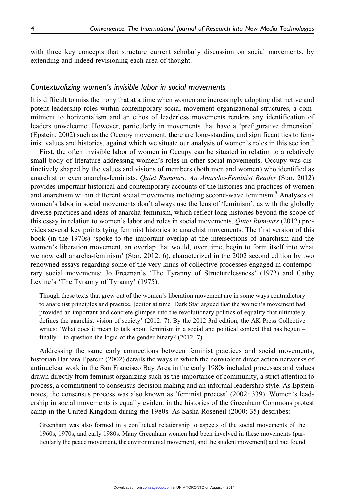with three key concepts that structure current scholarly discussion on social movements, by extending and indeed revisioning each area of thought.

## Contextualizing women's invisible labor in social movements

It is difficult to miss the irony that at a time when women are increasingly adopting distinctive and potent leadership roles within contemporary social movement organizational structures, a commitment to horizontalism and an ethos of leaderless movements renders any identification of leaders unwelcome. However, particularly in movements that have a 'prefigurative dimension' (Epstein, 2002) such as the Occupy movement, there are long-standing and significant ties to feminist values and histories, against which we situate our analysis of women's roles in this section.<sup>4</sup>

First, the often invisible labor of women in Occupy can be situated in relation to a relatively small body of literature addressing women's roles in other social movements. Occupy was distinctively shaped by the values and visions of members (both men and women) who identified as anarchist or even anarcha-feminists. Quiet Rumours: An Anarcha-Feminist Reader (Star, 2012) provides important historical and contemporary accounts of the histories and practices of women and anarchism within different social movements including second-wave feminism.<sup>5</sup> Analyses of women's labor in social movements don't always use the lens of 'feminism', as with the globally diverse practices and ideas of anarcha-feminism, which reflect long histories beyond the scope of this essay in relation to women's labor and roles in social movements. Quiet Rumours (2012) provides several key points tying feminist histories to anarchist movements. The first version of this book (in the 1970s) 'spoke to the important overlap at the intersections of anarchism and the women's liberation movement, an overlap that would, over time, begin to form itself into what we now call anarcha-feminism' (Star, 2012: 6), characterized in the 2002 second edition by two renowned essays regarding some of the very kinds of collective processes engaged in contemporary social movements: Jo Freeman's 'The Tyranny of Structurelessness' (1972) and Cathy Levine's 'The Tyranny of Tyranny' (1975).

Though these texts that grew out of the women's liberation movement are in some ways contradictory to anarchist principles and practice, [editor at time] Dark Star argued that the women's movement had provided an important and concrete glimpse into the revolutionary politics of equality that ultimately defines the anarchist vision of society' (2012: 7). By the 2012 3rd edition, the AK Press Collective writes: 'What does it mean to talk about feminism in a social and political context that has begun – finally – to question the logic of the gender binary?  $(2012: 7)$ 

Addressing the same early connections between feminist practices and social movements, historian Barbara Epstein (2002) details the ways in which the nonviolent direct action networks of antinuclear work in the San Francisco Bay Area in the early 1980s included processes and values drawn directly from feminist organizing such as the importance of community, a strict attention to process, a commitment to consensus decision making and an informal leadership style. As Epstein notes, the consensus process was also known as 'feminist process' (2002: 339). Women's leadership in social movements is equally evident in the histories of the Greenham Commons protest camp in the United Kingdom during the 1980s. As Sasha Roseneil (2000: 35) describes:

Greenham was also formed in a conflictual relationship to aspects of the social movements of the 1960s, 1970s, and early 1980s. Many Greenham women had been involved in these movements (particularly the peace movement, the environmental movement, and the student movement) and had found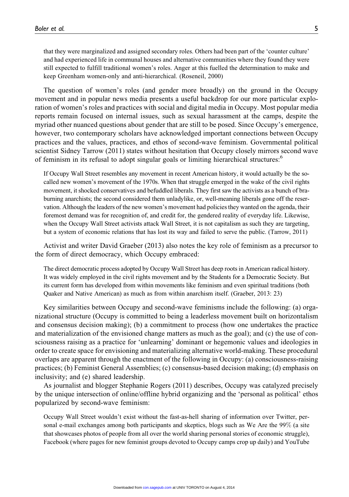that they were marginalized and assigned secondary roles. Others had been part of the 'counter culture' and had experienced life in communal houses and alternative communities where they found they were still expected to fulfill traditional women's roles. Anger at this fuelled the determination to make and keep Greenham women-only and anti-hierarchical. (Roseneil, 2000)

The question of women's roles (and gender more broadly) on the ground in the Occupy movement and in popular news media presents a useful backdrop for our more particular exploration of women's roles and practices with social and digital media in Occupy. Most popular media reports remain focused on internal issues, such as sexual harassment at the camps, despite the myriad other nuanced questions about gender that are still to be posed. Since Occupy's emergence, however, two contemporary scholars have acknowledged important connections between Occupy practices and the values, practices, and ethos of second-wave feminism. Governmental political scientist Sidney Tarrow (2011) states without hesitation that Occupy closely mirrors second wave of feminism in its refusal to adopt singular goals or limiting hierarchical structures:<sup>6</sup>

If Occupy Wall Street resembles any movement in recent American history, it would actually be the socalled new women's movement of the 1970s. When that struggle emerged in the wake of the civil rights movement, it shocked conservatives and befuddled liberals. They first saw the activists as a bunch of braburning anarchists; the second considered them unladylike, or, well-meaning liberals gone off the reservation. Although the leaders of the new women's movement had policies they wanted on the agenda, their foremost demand was for recognition of, and credit for, the gendered reality of everyday life. Likewise, when the Occupy Wall Street activists attack Wall Street, it is not capitalism as such they are targeting, but a system of economic relations that has lost its way and failed to serve the public. (Tarrow, 2011)

Activist and writer David Graeber (2013) also notes the key role of feminism as a precursor to the form of direct democracy, which Occupy embraced:

The direct democratic process adopted by Occupy Wall Street has deep roots in American radical history. It was widely employed in the civil rights movement and by the Students for a Democratic Society. But its current form has developed from within movements like feminism and even spiritual traditions (both Quaker and Native American) as much as from within anarchism itself. (Graeber, 2013: 23)

Key similarities between Occupy and second-wave feminisms include the following: (a) organizational structure (Occupy is committed to being a leaderless movement built on horizontalism and consensus decision making); (b) a commitment to process (how one undertakes the practice and materialization of the envisioned change matters as much as the goal); and (c) the use of consciousness raising as a practice for 'unlearning' dominant or hegemonic values and ideologies in order to create space for envisioning and materializing alternative world-making. These procedural overlaps are apparent through the enactment of the following in Occupy: (a) consciousness-raising practices; (b) Feminist General Assemblies; (c) consensus-based decision making; (d) emphasis on inclusivity; and (e) shared leadership.

As journalist and blogger Stephanie Rogers (2011) describes, Occupy was catalyzed precisely by the unique intersection of online/offline hybrid organizing and the 'personal as political' ethos popularized by second-wave feminism:

Occupy Wall Street wouldn't exist without the fast-as-hell sharing of information over Twitter, personal e-mail exchanges among both participants and skeptics, blogs such as We Are the 99% (a site that showcases photos of people from all over the world sharing personal stories of economic struggle), Facebook (where pages for new feminist groups devoted to Occupy camps crop up daily) and YouTube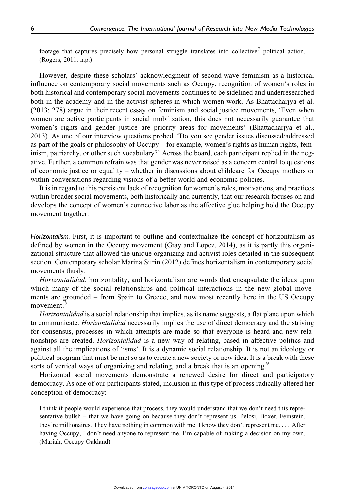footage that captures precisely how personal struggle translates into collective<sup>7</sup> political action. (Rogers, 2011: n.p.)

However, despite these scholars' acknowledgment of second-wave feminism as a historical influence on contemporary social movements such as Occupy, recognition of women's roles in both historical and contemporary social movements continues to be sidelined and underresearched both in the academy and in the activist spheres in which women work. As Bhattacharjya et al. (2013: 278) argue in their recent essay on feminism and social justice movements, 'Even when women are active participants in social mobilization, this does not necessarily guarantee that women's rights and gender justice are priority areas for movements' (Bhattacharjya et al., 2013). As one of our interview questions probed, 'Do you see gender issues discussed/addressed as part of the goals or philosophy of Occupy – for example, women's rights as human rights, feminism, patriarchy, or other such vocabulary?' Across the board, each participant replied in the negative. Further, a common refrain was that gender was never raised as a concern central to questions of economic justice or equality – whether in discussions about childcare for Occupy mothers or within conversations regarding visions of a better world and economic policies.

It is in regard to this persistent lack of recognition for women's roles, motivations, and practices within broader social movements, both historically and currently, that our research focuses on and develops the concept of women's connective labor as the affective glue helping hold the Occupy movement together.

Horizontalism. First, it is important to outline and contextualize the concept of horizontalism as defined by women in the Occupy movement (Gray and Lopez, 2014), as it is partly this organizational structure that allowed the unique organizing and activist roles detailed in the subsequent section. Contemporary scholar Marina Sitrin (2012) defines horizontalism in contemporary social movements thusly:

Horizontalidad, horizontality, and horizontalism are words that encapsulate the ideas upon which many of the social relationships and political interactions in the new global movements are grounded – from Spain to Greece, and now most recently here in the US Occupy movement.<sup>8</sup>

Horizontalidad is a social relationship that implies, as its name suggests, a flat plane upon which to communicate. *Horizontalidad* necessarily implies the use of direct democracy and the striving for consensus, processes in which attempts are made so that everyone is heard and new relationships are created. Horizontalidad is a new way of relating, based in affective politics and against all the implications of 'isms'. It is a dynamic social relationship. It is not an ideology or political program that must be met so as to create a new society or new idea. It is a break with these sorts of vertical ways of organizing and relating, and a break that is an opening.<sup>9</sup>

Horizontal social movements demonstrate a renewed desire for direct and participatory democracy. As one of our participants stated, inclusion in this type of process radically altered her conception of democracy:

I think if people would experience that process, they would understand that we don't need this representative bullsh – that we have going on because they don't represent us. Pelosi, Boxer, Feinstein, they're millionaires. They have nothing in common with me. I know they don't represent me. ... After having Occupy, I don't need anyone to represent me. I'm capable of making a decision on my own. (Mariah, Occupy Oakland)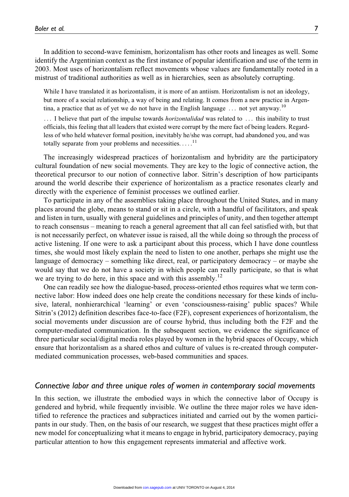In addition to second-wave feminism, horizontalism has other roots and lineages as well. Some identify the Argentinian context as the first instance of popular identification and use of the term in 2003. Most uses of horizontalism reflect movements whose values are fundamentally rooted in a mistrust of traditional authorities as well as in hierarchies, seen as absolutely corrupting.

While I have translated it as horizontalism, it is more of an antiism. Horizontalism is not an ideology, but more of a social relationship, a way of being and relating. It comes from a new practice in Argentina, a practice that as of yet we do not have in the English language  $\ldots$  not yet anyway.<sup>10</sup>

... I believe that part of the impulse towards *horizontalidad* was related to ... this inability to trust officials, this feeling that all leaders that existed were corrupt by the mere fact of being leaders. Regardless of who held whatever formal position, inevitably he/she was corrupt, had abandoned you, and was totally separate from your problems and necessities.... $^{11}$ 

The increasingly widespread practices of horizontalism and hybridity are the participatory cultural foundation of new social movements. They are key to the logic of connective action, the theoretical precursor to our notion of connective labor. Sitrin's description of how participants around the world describe their experience of horizontalism as a practice resonates clearly and directly with the experience of feminist processes we outlined earlier.

To participate in any of the assemblies taking place throughout the United States, and in many places around the globe, means to stand or sit in a circle, with a handful of facilitators, and speak and listen in turn, usually with general guidelines and principles of unity, and then together attempt to reach consensus – meaning to reach a general agreement that all can feel satisfied with, but that is not necessarily perfect, on whatever issue is raised, all the while doing so through the process of active listening. If one were to ask a participant about this process, which I have done countless times, she would most likely explain the need to listen to one another, perhaps she might use the language of democracy – something like direct, real, or participatory democracy – or maybe she would say that we do not have a society in which people can really participate, so that is what we are trying to do here, in this space and with this assembly.<sup>12</sup>

One can readily see how the dialogue-based, process-oriented ethos requires what we term connective labor: How indeed does one help create the conditions necessary for these kinds of inclusive, lateral, nonhierarchical 'learning' or even 'consciousness-raising' public spaces? While Sitrin's (2012) definition describes face-to-face (F2F), copresent experiences of horizontalism, the social movements under discussion are of course hybrid, thus including both the F2F and the computer-mediated communication. In the subsequent section, we evidence the significance of three particular social/digital media roles played by women in the hybrid spaces of Occupy, which ensure that horizontalism as a shared ethos and culture of values is re-created through computermediated communication processes, web-based communities and spaces.

#### Connective labor and three unique roles of women in contemporary social movements

In this section, we illustrate the embodied ways in which the connective labor of Occupy is gendered and hybrid, while frequently invisible. We outline the three major roles we have identified to reference the practices and subpractices initiated and carried out by the women participants in our study. Then, on the basis of our research, we suggest that these practices might offer a new model for conceptualizing what it means to engage in hybrid, participatory democracy, paying particular attention to how this engagement represents immaterial and affective work.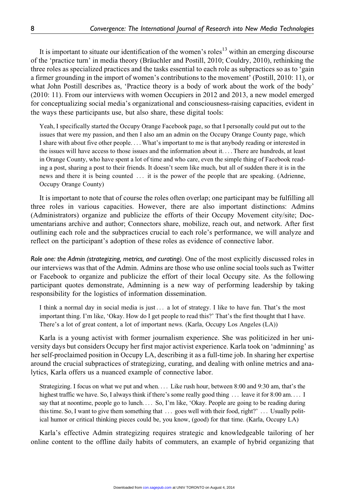It is important to situate our identification of the women's roles<sup>13</sup> within an emerging discourse of the 'practice turn' in media theory (Bräuchler and Postill, 2010; Couldry, 2010), rethinking the three roles as specialized practices and the tasks essential to each role as subpractices so as to 'gain a firmer grounding in the import of women's contributions to the movement' (Postill, 2010: 11), or what John Postill describes as, 'Practice theory is a body of work about the work of the body' (2010: 11). From our interviews with women Occupiers in 2012 and 2013, a new model emerged for conceptualizing social media's organizational and consciousness-raising capacities, evident in the ways these participants use, but also share, these digital tools:

Yeah, I specifically started the Occupy Orange Facebook page, so that I personally could put out to the issues that were my passion, and then I also am an admin on the Occupy Orange County page, which I share with about five other people. ... What's important to me is that anybody reading or interested in the issues will have access to those issues and the information about it. ... There are hundreds, at least in Orange County, who have spent a lot of time and who care, even the simple thing of Facebook reading a post, sharing a post to their friends. It doesn't seem like much, but all of sudden there it is in the news and there it is being counted ... it is the power of the people that are speaking. (Adrienne, Occupy Orange County)

It is important to note that of course the roles often overlap; one participant may be fulfilling all three roles in various capacities. However, there are also important distinctions: Admins (Administrators) organize and publicize the efforts of their Occupy Movement city/site; Documentarians archive and author; Connectors share, mobilize, reach out, and network. After first outlining each role and the subpractices crucial to each role's performance, we will analyze and reflect on the participant's adoption of these roles as evidence of connective labor.

Role one: the Admin (strategizing, metrics, and curating). One of the most explicitly discussed roles in our interviews was that of the Admin. Admins are those who use online social tools such as Twitter or Facebook to organize and publicize the effort of their local Occupy site. As the following participant quotes demonstrate, Adminning is a new way of performing leadership by taking responsibility for the logistics of information dissemination.

I think a normal day in social media is just ... a lot of strategy. I like to have fun. That's the most important thing. I'm like, 'Okay. How do I get people to read this?' That's the first thought that I have. There's a lot of great content, a lot of important news. (Karla, Occupy Los Angeles (LA))

Karla is a young activist with former journalism experience. She was politicized in her university days but considers Occupy her first major activist experience. Karla took on 'adminning' as her self-proclaimed position in Occupy LA, describing it as a full-time job. In sharing her expertise around the crucial subpractices of strategizing, curating, and dealing with online metrics and analytics, Karla offers us a nuanced example of connective labor.

Strategizing. I focus on what we put and when. ... Like rush hour, between 8:00 and 9:30 am, that's the highest traffic we have. So, I always think if there's some really good thing ... leave it for 8:00 am. ... I say that at noontime, people go to lunch. ... So, I'm like, 'Okay. People are going to be reading during this time. So, I want to give them something that ... goes well with their food, right?' ... Usually political humor or critical thinking pieces could be, you know, (good) for that time. (Karla, Occupy LA)

Karla's effective Admin strategizing requires strategic and knowledgeable tailoring of her online content to the offline daily habits of commuters, an example of hybrid organizing that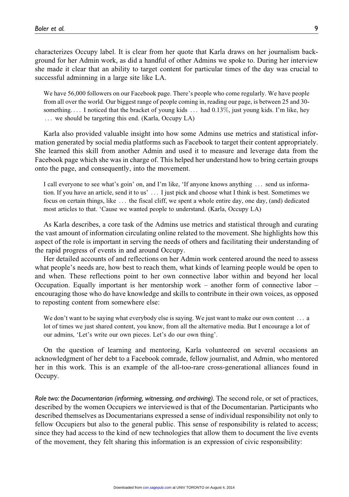characterizes Occupy label. It is clear from her quote that Karla draws on her journalism background for her Admin work, as did a handful of other Admins we spoke to. During her interview she made it clear that an ability to target content for particular times of the day was crucial to successful adminning in a large site like LA.

We have 56,000 followers on our Facebook page. There's people who come regularly. We have people from all over the world. Our biggest range of people coming in, reading our page, is between 25 and 30 something.... I noticed that the bracket of young kids ... had  $0.13\%$ , just young kids. I'm like, hey ... we should be targeting this end. (Karla, Occupy LA)

Karla also provided valuable insight into how some Admins use metrics and statistical information generated by social media platforms such as Facebook to target their content appropriately. She learned this skill from another Admin and used it to measure and leverage data from the Facebook page which she was in charge of. This helped her understand how to bring certain groups onto the page, and consequently, into the movement.

I call everyone to see what's goin' on, and I'm like, 'If anyone knows anything ... send us information. If you have an article, send it to us' ... I just pick and choose what I think is best. Sometimes we focus on certain things, like ... the fiscal cliff, we spent a whole entire day, one day, (and) dedicated most articles to that. 'Cause we wanted people to understand. (Karla, Occupy LA)

As Karla describes, a core task of the Admins use metrics and statistical through and curating the vast amount of information circulating online related to the movement. She highlights how this aspect of the role is important in serving the needs of others and facilitating their understanding of the rapid progress of events in and around Occupy.

Her detailed accounts of and reflections on her Admin work centered around the need to assess what people's needs are, how best to reach them, what kinds of learning people would be open to and when. These reflections point to her own connective labor within and beyond her local Occupation. Equally important is her mentorship work – another form of connective labor – encouraging those who do have knowledge and skills to contribute in their own voices, as opposed to reposting content from somewhere else:

We don't want to be saying what everybody else is saying. We just want to make our own content ... a lot of times we just shared content, you know, from all the alternative media. But I encourage a lot of our admins, 'Let's write our own pieces. Let's do our own thing'.

On the question of learning and mentoring, Karla volunteered on several occasions an acknowledgment of her debt to a Facebook comrade, fellow journalist, and Admin, who mentored her in this work. This is an example of the all-too-rare cross-generational alliances found in Occupy.

Role two: the Documentarian (informing, witnessing, and archiving). The second role, or set of practices, described by the women Occupiers we interviewed is that of the Documentarian. Participants who described themselves as Documentarians expressed a sense of individual responsibility not only to fellow Occupiers but also to the general public. This sense of responsibility is related to access; since they had access to the kind of new technologies that allow them to document the live events of the movement, they felt sharing this information is an expression of civic responsibility: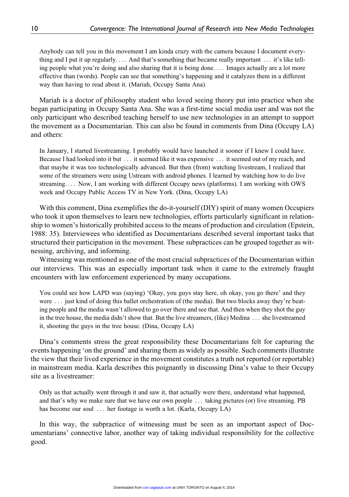Anybody can tell you in this movement I am kinda crazy with the camera because I document everything and I put it up regularly. ... And that's something that became really important ... it's like telling people what you're doing and also sharing that it is being done. ... Images actually are a lot more effective than (words). People can see that something's happening and it catalyzes them in a different way than having to read about it. (Mariah, Occupy Santa Ana).

Mariah is a doctor of philosophy student who loved seeing theory put into practice when she began participating in Occupy Santa Ana. She was a first-time social media user and was not the only participant who described teaching herself to use new technologies in an attempt to support the movement as a Documentarian. This can also be found in comments from Dina (Occupy LA) and others:

In January, I started livestreaming. I probably would have launched it sooner if I knew I could have. Because I had looked into it but ... it seemed like it was expensive ... it seemed out of my reach, and that maybe it was too technologically advanced. But then (from) watching livestream, I realized that some of the streamers were using Ustream with android phones. I learned by watching how to do live streaming. ... Now, I am working with different Occupy news (platforms). I am working with OWS week and Occupy Public Access TV in New York. (Dina, Occupy LA)

With this comment, Dina exemplifies the do-it-yourself (DIY) spirit of many women Occupiers who took it upon themselves to learn new technologies, efforts particularly significant in relationship to women's historically prohibited access to the means of production and circulation (Epstein, 1988: 35). Interviewees who identified as Documentarians described several important tasks that structured their participation in the movement. These subpractices can be grouped together as witnessing, archiving, and informing.

Witnessing was mentioned as one of the most crucial subpractices of the Documentarian within our interviews. This was an especially important task when it came to the extremely fraught encounters with law enforcement experienced by many occupations.

You could see how LAPD was (saying) 'Okay, you guys stay here, oh okay, you go there' and they were ... just kind of doing this ballet orchestration of (the media). But two blocks away they're beating people and the media wasn't allowed to go over there and see that. And then when they shot the guy in the tree house, the media didn't show that. But the live streamers, (like) Medina ... she livestreamed it, shooting the guys in the tree house. (Dina, Occupy LA)

Dina's comments stress the great responsibility these Documentarians felt for capturing the events happening 'on the ground' and sharing them as widely as possible. Such comments illustrate the view that their lived experience in the movement constitutes a truth not reported (or reportable) in mainstream media. Karla describes this poignantly in discussing Dina's value to their Occupy site as a livestreamer:

Only us that actually went through it and saw it, that actually were there, understand what happened, and that's why we make sure that we have our own people ... taking pictures (or) live streaming. PB has become our soul ... her footage is worth a lot. (Karla, Occupy LA)

In this way, the subpractice of witnessing must be seen as an important aspect of Documentarians' connective labor, another way of taking individual responsibility for the collective good.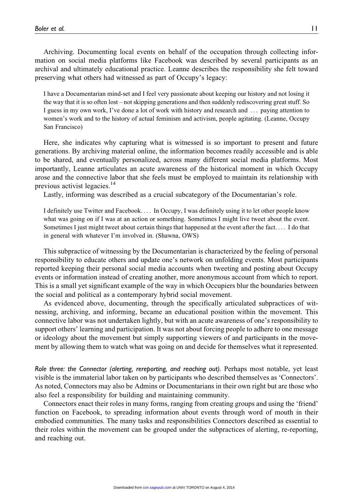Archiving. Documenting local events on behalf of the occupation through collecting information on social media platforms like Facebook was described by several participants as an archival and ultimately educational practice. Leanne describes the responsibility she felt toward preserving what others had witnessed as part of Occupy's legacy:

I have a Documentarian mind-set and I feel very passionate about keeping our history and not losing it the way that it is so often lost – not skipping generations and then suddenly rediscovering great stuff. So I guess in my own work, I've done a lot of work with history and research and ... paying attention to women's work and to the history of actual feminism and activism, people agitating. (Leanne, Occupy San Francisco)

Here, she indicates why capturing what is witnessed is so important to present and future generations. By archiving material online, the information becomes readily accessible and is able to be shared, and eventually personalized, across many different social media platforms. Most importantly, Leanne articulates an acute awareness of the historical moment in which Occupy arose and the connective labor that she feels must be employed to maintain its relationship with previous activist legacies.<sup>14</sup>

Lastly, informing was described as a crucial subcategory of the Documentarian's role.

I definitely use Twitter and Facebook. ... In Occupy, I was definitely using it to let other people know what was going on if I was at an action or something. Sometimes I might live tweet about the event. Sometimes I just might tweet about certain things that happened at the event after the fact. ... I do that in general with whatever I'm involved in. (Shawna, OWS)

This subpractice of witnessing by the Documentarian is characterized by the feeling of personal responsibility to educate others and update one's network on unfolding events. Most participants reported keeping their personal social media accounts when tweeting and posting about Occupy events or information instead of creating another, more anonymous account from which to report. This is a small yet significant example of the way in which Occupiers blur the boundaries between the social and political as a contemporary hybrid social movement.

As evidenced above, documenting, through the specifically articulated subpractices of witnessing, archiving, and informing, became an educational position within the movement. This connective labor was not undertaken lightly, but with an acute awareness of one's responsibility to support others' learning and participation. It was not about forcing people to adhere to one message or ideology about the movement but simply supporting viewers of and participants in the movement by allowing them to watch what was going on and decide for themselves what it represented.

Role three: the Connector (alerting, rereporting, and reaching out). Perhaps most notable, yet least visible is the immaterial labor taken on by participants who described themselves as 'Connectors'. As noted, Connectors may also be Admins or Documentarians in their own right but are those who also feel a responsibility for building and maintaining community.

Connectors enact their roles in many forms, ranging from creating groups and using the 'friend' function on Facebook, to spreading information about events through word of mouth in their embodied communities. The many tasks and responsibilities Connectors described as essential to their roles within the movement can be grouped under the subpractices of alerting, re-reporting, and reaching out.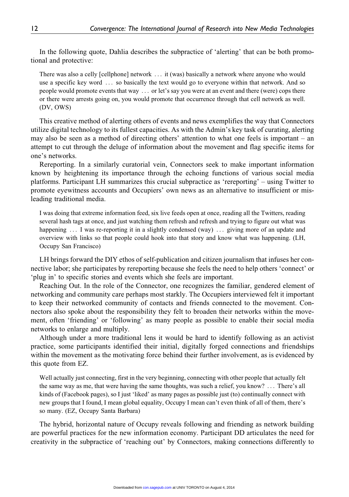In the following quote, Dahlia describes the subpractice of 'alerting' that can be both promotional and protective:

There was also a celly [cellphone] network ... it (was) basically a network where anyone who would use a specific key word ... so basically the text would go to everyone within that network. And so people would promote events that way ... or let's say you were at an event and there (were) cops there or there were arrests going on, you would promote that occurrence through that cell network as well. (DV, OWS)

This creative method of alerting others of events and news exemplifies the way that Connectors utilize digital technology to its fullest capacities. As with the Admin's key task of curating, alerting may also be seen as a method of directing others' attention to what one feels is important – an attempt to cut through the deluge of information about the movement and flag specific items for one's networks.

Rereporting. In a similarly curatorial vein, Connectors seek to make important information known by heightening its importance through the echoing functions of various social media platforms. Participant LH summarizes this crucial subpractice as 'rereporting' – using Twitter to promote eyewitness accounts and Occupiers' own news as an alternative to insufficient or misleading traditional media.

I was doing that extreme information feed, six live feeds open at once, reading all the Twitters, reading several hash tags at once, and just watching them refresh and refresh and trying to figure out what was happening ... I was re-reporting it in a slightly condensed (way) ... giving more of an update and overview with links so that people could hook into that story and know what was happening. (LH, Occupy San Francisco)

LH brings forward the DIY ethos of self-publication and citizen journalism that infuses her connective labor; she participates by rereporting because she feels the need to help others 'connect' or 'plug in' to specific stories and events which she feels are important.

Reaching Out. In the role of the Connector, one recognizes the familiar, gendered element of networking and community care perhaps most starkly. The Occupiers interviewed felt it important to keep their networked community of contacts and friends connected to the movement. Connectors also spoke about the responsibility they felt to broaden their networks within the movement, often 'friending' or 'following' as many people as possible to enable their social media networks to enlarge and multiply.

Although under a more traditional lens it would be hard to identify following as an activist practice, some participants identified their initial, digitally forged connections and friendships within the movement as the motivating force behind their further involvement, as is evidenced by this quote from EZ.

Well actually just connecting, first in the very beginning, connecting with other people that actually felt the same way as me, that were having the same thoughts, was such a relief, you know? ... There's all kinds of (Facebook pages), so I just 'liked' as many pages as possible just (to) continually connect with new groups that I found, I mean global equality, Occupy I mean can't even think of all of them, there's so many. (EZ, Occupy Santa Barbara)

The hybrid, horizontal nature of Occupy reveals following and friending as network building are powerful practices for the new information economy. Participant DD articulates the need for creativity in the subpractice of 'reaching out' by Connectors, making connections differently to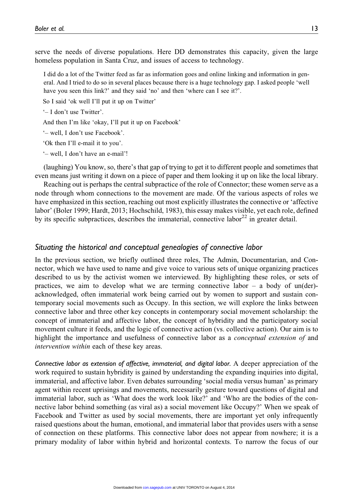serve the needs of diverse populations. Here DD demonstrates this capacity, given the large homeless population in Santa Cruz, and issues of access to technology.

I did do a lot of the Twitter feed as far as information goes and online linking and information in general. And I tried to do so in several places because there is a huge technology gap. I asked people 'well have you seen this link?' and they said 'no' and then 'where can I see it?'.

So I said 'ok well I'll put it up on Twitter'

'– I don't use Twitter'.

And then I'm like 'okay, I'll put it up on Facebook'

'– well, I don't use Facebook'.

'Ok then I'll e-mail it to you'.

'– well, I don't have an e-mail'!

(laughing) You know, so, there's that gap of trying to get it to different people and sometimes that even means just writing it down on a piece of paper and them looking it up on like the local library.

Reaching out is perhaps the central subpractice of the role of Connector; these women serve as a node through whom connections to the movement are made. Of the various aspects of roles we have emphasized in this section, reaching out most explicitly illustrates the connective or 'affective labor' (Boler 1999; Hardt, 2013; Hochschild, 1983), this essay makes visible, yet each role, defined by its specific subpractices, describes the immaterial, connective labor $^{22}$  in greater detail.

## Situating the historical and conceptual genealogies of connective labor

In the previous section, we briefly outlined three roles, The Admin, Documentarian, and Connector, which we have used to name and give voice to various sets of unique organizing practices described to us by the activist women we interviewed. By highlighting these roles, or sets of practices, we aim to develop what we are terming connective labor  $-$  a body of un(der)acknowledged, often immaterial work being carried out by women to support and sustain contemporary social movements such as Occupy. In this section, we will explore the links between connective labor and three other key concepts in contemporary social movement scholarship: the concept of immaterial and affective labor, the concept of hybridity and the participatory social movement culture it feeds, and the logic of connective action (vs. collective action). Our aim is to highlight the importance and usefulness of connective labor as a *conceptual extension of* and intervention within each of these key areas.

Connective labor as extension of affective, immaterial, and digital labor. A deeper appreciation of the work required to sustain hybridity is gained by understanding the expanding inquiries into digital, immaterial, and affective labor. Even debates surrounding 'social media versus human' as primary agent within recent uprisings and movements, necessarily gesture toward questions of digital and immaterial labor, such as 'What does the work look like?' and 'Who are the bodies of the connective labor behind something (as viral as) a social movement like Occupy?' When we speak of Facebook and Twitter as used by social movements, there are important yet only infrequently raised questions about the human, emotional, and immaterial labor that provides users with a sense of connection on these platforms. This connective labor does not appear from nowhere; it is a primary modality of labor within hybrid and horizontal contexts. To narrow the focus of our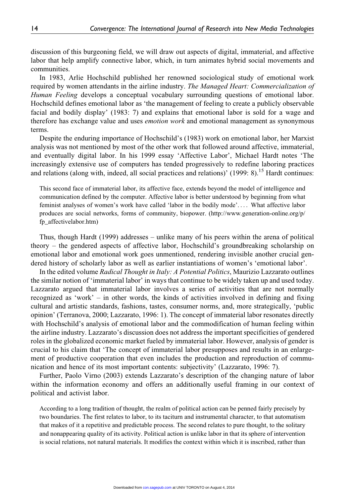discussion of this burgeoning field, we will draw out aspects of digital, immaterial, and affective labor that help amplify connective labor, which, in turn animates hybrid social movements and communities.

In 1983, Arlie Hochschild published her renowned sociological study of emotional work required by women attendants in the airline industry. The Managed Heart: Commercialization of Human Feeling develops a conceptual vocabulary surrounding questions of emotional labor. Hochschild defines emotional labor as 'the management of feeling to create a publicly observable facial and bodily display' (1983: 7) and explains that emotional labor is sold for a wage and therefore has exchange value and uses emotion work and emotional management as synonymous terms.

Despite the enduring importance of Hochschild's (1983) work on emotional labor, her Marxist analysis was not mentioned by most of the other work that followed around affective, immaterial, and eventually digital labor. In his 1999 essay 'Affective Labor', Michael Hardt notes 'The increasingly extensive use of computers has tended progressively to redefine laboring practices and relations (along with, indeed, all social practices and relations)' (1999: 8).<sup>15</sup> Hardt continues:

This second face of immaterial labor, its affective face, extends beyond the model of intelligence and communication defined by the computer. Affective labor is better understood by beginning from what feminist analyses of women's work have called 'labor in the bodily mode'. ... What affective labor produces are social networks, forms of community, biopower. (http://www.generation-online.org/p/ fp\_affectivelabor.htm)

Thus, though Hardt (1999) addresses – unlike many of his peers within the arena of political theory – the gendered aspects of affective labor, Hochschild's groundbreaking scholarship on emotional labor and emotional work goes unmentioned, rendering invisible another crucial gendered history of scholarly labor as well as earlier instantiations of women's 'emotional labor'.

In the edited volume Radical Thought in Italy: A Potential Politics, Maurizio Lazzarato outlines the similar notion of 'immaterial labor' in ways that continue to be widely taken up and used today. Lazzarato argued that immaterial labor involves a series of activities that are not normally recognized as 'work' – in other words, the kinds of activities involved in defining and fixing cultural and artistic standards, fashions, tastes, consumer norms, and, more strategically, 'public opinion' (Terranova, 2000; Lazzarato, 1996: 1). The concept of immaterial labor resonates directly with Hochschild's analysis of emotional labor and the commodification of human feeling within the airline industry. Lazzarato's discussion does not address the important specificities of gendered roles in the globalized economic market fueled by immaterial labor. However, analysis of gender is crucial to his claim that 'The concept of immaterial labor presupposes and results in an enlargement of productive cooperation that even includes the production and reproduction of communication and hence of its most important contents: subjectivity' (Lazzarato, 1996: 7).

Further, Paolo Virno (2003) extends Lazzarato's description of the changing nature of labor within the information economy and offers an additionally useful framing in our context of political and activist labor.

According to a long tradition of thought, the realm of political action can be penned fairly precisely by two boundaries. The first relates to labor, to its taciturn and instrumental character, to that automatism that makes of it a repetitive and predictable process. The second relates to pure thought, to the solitary and nonappearing quality of its activity. Political action is unlike labor in that its sphere of intervention is social relations, not natural materials. It modifies the context within which it is inscribed, rather than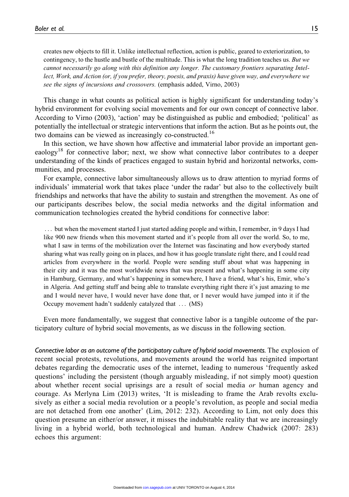creates new objects to fill it. Unlike intellectual reflection, action is public, geared to exteriorization, to contingency, to the hustle and bustle of the multitude. This is what the long tradition teaches us. But we cannot necessarily go along with this definition any longer. The customary frontiers separating Intellect, Work, and Action (or, if you prefer, theory, poesis, and praxis) have given way, and everywhere we see the signs of incursions and crossovers. (emphasis added, Virno, 2003)

This change in what counts as political action is highly significant for understanding today's hybrid environment for evolving social movements and for our own concept of connective labor. According to Virno (2003), 'action' may be distinguished as public and embodied; 'political' as potentially the intellectual or strategic interventions that inform the action. But as he points out, the two domains can be viewed as increasingly co-constructed.<sup>16</sup>

In this section, we have shown how affective and immaterial labor provide an important geneaology<sup>18</sup> for connective labor; next, we show what connective labor contributes to a deeper understanding of the kinds of practices engaged to sustain hybrid and horizontal networks, communities, and processes.

For example, connective labor simultaneously allows us to draw attention to myriad forms of individuals' immaterial work that takes place 'under the radar' but also to the collectively built friendships and networks that have the ability to sustain and strengthen the movement. As one of our participants describes below, the social media networks and the digital information and communication technologies created the hybrid conditions for connective labor:

... but when the movement started I just started adding people and within, I remember, in 9 days I had like 900 new friends when this movement started and it's people from all over the world. So, to me, what I saw in terms of the mobilization over the Internet was fascinating and how everybody started sharing what was really going on in places, and how it has google translate right there, and I could read articles from everywhere in the world. People were sending stuff about what was happening in their city and it was the most worldwide news that was present and what's happening in some city in Hamburg, Germany, and what's happening in somewhere, I have a friend, what's his, Emir, who's in Algeria. And getting stuff and being able to translate everything right there it's just amazing to me and I would never have, I would never have done that, or I never would have jumped into it if the Occupy movement hadn't suddenly catalyzed that ... (MS)

Even more fundamentally, we suggest that connective labor is a tangible outcome of the participatory culture of hybrid social movements, as we discuss in the following section.

Connective labor as an outcome of the participatory culture of hybrid social movements. The explosion of recent social protests, revolutions, and movements around the world has reignited important debates regarding the democratic uses of the internet, leading to numerous 'frequently asked questions' including the persistent (though arguably misleading, if not simply moot) question about whether recent social uprisings are a result of social media or human agency and courage. As Merlyna Lim (2013) writes, 'It is misleading to frame the Arab revolts exclusively as either a social media revolution or a people's revolution, as people and social media are not detached from one another' (Lim, 2012: 232). According to Lim, not only does this question presume an either/or answer, it misses the indubitable reality that we are increasingly living in a hybrid world, both technological and human. Andrew Chadwick (2007: 283) echoes this argument: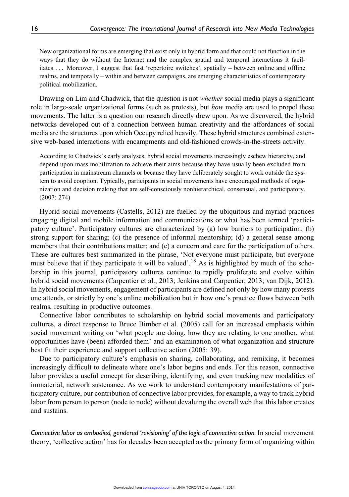New organizational forms are emerging that exist only in hybrid form and that could not function in the ways that they do without the Internet and the complex spatial and temporal interactions it facilitates. ... Moreover, I suggest that fast 'repertoire switches', spatially – between online and offline realms, and temporally – within and between campaigns, are emerging characteristics of contemporary political mobilization.

Drawing on Lim and Chadwick, that the question is not *whether* social media plays a significant role in large-scale organizational forms (such as protests), but how media are used to propel these movements. The latter is a question our research directly drew upon. As we discovered, the hybrid networks developed out of a connection between human creativity and the affordances of social media are the structures upon which Occupy relied heavily. These hybrid structures combined extensive web-based interactions with encampments and old-fashioned crowds-in-the-streets activity.

According to Chadwick's early analyses, hybrid social movements increasingly eschew hierarchy, and depend upon mass mobilization to achieve their aims because they have usually been excluded from participation in mainstream channels or because they have deliberately sought to work outside the system to avoid cooption. Typically, participants in social movements have encouraged methods of organization and decision making that are self-consciously nonhierarchical, consensual, and participatory. (2007: 274)

Hybrid social movements (Castells, 2012) are fuelled by the ubiquitous and myriad practices engaging digital and mobile information and communications or what has been termed 'participatory culture'. Participatory cultures are characterized by (a) low barriers to participation; (b) strong support for sharing; (c) the presence of informal mentorship; (d) a general sense among members that their contributions matter; and (e) a concern and care for the participation of others. These are cultures best summarized in the phrase, 'Not everyone must participate, but everyone must believe that if they participate it will be valued'.<sup>18</sup> As is highlighted by much of the scholarship in this journal, participatory cultures continue to rapidly proliferate and evolve within hybrid social movements (Carpentier et al., 2013; Jenkins and Carpentier, 2013; van Dijk, 2012). In hybrid social movements, engagement of participants are defined not only by how many protests one attends, or strictly by one's online mobilization but in how one's practice flows between both realms, resulting in productive outcomes.

Connective labor contributes to scholarship on hybrid social movements and participatory cultures, a direct response to Bruce Bimber et al. (2005) call for an increased emphasis within social movement writing on 'what people are doing, how they are relating to one another, what opportunities have (been) afforded them' and an examination of what organization and structure best fit their experience and support collective action (2005: 39).

Due to participatory culture's emphasis on sharing, collaborating, and remixing, it becomes increasingly difficult to delineate where one's labor begins and ends. For this reason, connective labor provides a useful concept for describing, identifying, and even tracking new modalities of immaterial, network sustenance. As we work to understand contemporary manifestations of participatory culture, our contribution of connective labor provides, for example, a way to track hybrid labor from person to person (node to node) without devaluing the overall web that this labor creates and sustains.

Connective labor as embodied, gendered 'revisioning' of the logic of connective action. In social movement theory, 'collective action' has for decades been accepted as the primary form of organizing within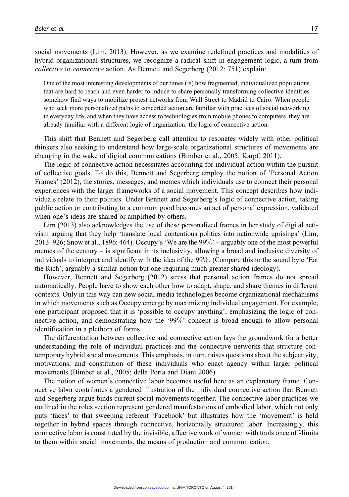social movements (Lim, 2013). However, as we examine redefined practices and modalities of hybrid organizational structures, we recognize a radical shift in engagement logic, a turn from collective to connective action. As Bennett and Segerberg (2012: 751) explain:

One of the most interesting developments of our times (is) how fragmented, individualized populations that are hard to reach and even harder to induce to share personally transforming collective identities somehow find ways to mobilize protest networks from Wall Street to Madrid to Cairo. When people who seek more personalized paths to concerted action are familiar with practices of social networking in everyday life, and when they have access to technologies from mobile phones to computers, they are already familiar with a different logic of organization: the logic of connective action.

This shift that Bennett and Segerberg call attention to resonates widely with other political thinkers also seeking to understand how large-scale organizational structures of movements are changing in the wake of digital communications (Bimber et al., 2005; Karpf, 2011).

The logic of connective action necessitates accounting for individual action within the pursuit of collective goals. To do this, Bennett and Segerberg employ the notion of 'Personal Action Frames' (2012), the stories, messages, and memes which individuals use to connect their personal experiences with the larger frameworks of a social movement. This concept describes how individuals relate to their politics. Under Bennett and Segerberg's logic of connective action, taking public action or contributing to a common good becomes an act of personal expression, validated when one's ideas are shared or amplified by others.

Lim (2013) also acknowledges the use of these personalized frames in her study of digital activism arguing that they help 'translate local contentious politics into nationwide uprisings' (Lim, 2013: 926; Snow et al., 1896: 464). Occupy's 'We are the 99%' – arguably one of the most powerful memes of the century – is significant in its inclusivity, allowing a broad and inclusive diversity of individuals to interpret and identify with the idea of the 99%. (Compare this to the sound byte 'Eat the Rich', arguably a similar notion but one requiring much greater shared ideology).

However, Bennett and Segerberg (2012) stress that personal action frames do not spread automatically. People have to show each other how to adapt, shape, and share themes in different contexts. Only in this way can new social media technologies become organizational mechanisms in which movements such as Occupy emerge by maximizing individual engagement. For example, one participant proposed that it is 'possible to occupy anything', emphasizing the logic of connective action, and demonstrating how the '99%' concept is broad enough to allow personal identification in a plethora of forms.

The differentiation between collective and connective action lays the groundwork for a better understanding the role of individual practices and the connective networks that structure contemporary hybrid social movements. This emphasis, in turn, raises questions about the subjectivity, motivations, and constitution of these individuals who enact agency within larger political movements (Bimber et al., 2005; della Porta and Diani 2006).

The notion of women's connective labor becomes useful here as an explanatory frame. Connective labor contributes a gendered illustration of the individual connective action that Bennett and Segerberg argue binds current social movements together. The connective labor practices we outlined in the roles section represent gendered manifestations of embodied labor, which not only puts 'faces' to that sweeping referent 'Facebook' but illustrates how the 'movement' is held together in hybrid spaces through connective, horizontally structured labor. Increasingly, this connective labor is constituted by the invisible, affective work of women with tools once off-limits to them within social movements: the means of production and communication.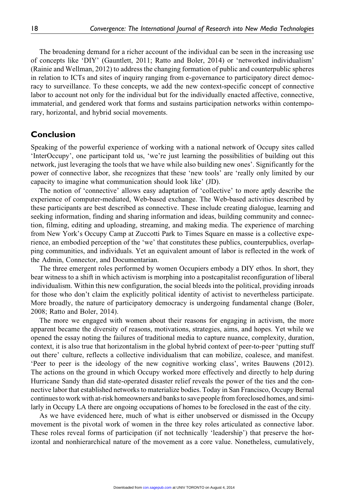The broadening demand for a richer account of the individual can be seen in the increasing use of concepts like 'DIY' (Gauntlett, 2011; Ratto and Boler, 2014) or 'networked individualism' (Rainie and Wellman, 2012) to address the changing formation of public and counterpublic spheres in relation to ICTs and sites of inquiry ranging from e-governance to participatory direct democracy to surveillance. To these concepts, we add the new context-specific concept of connective labor to account not only for the individual but for the individually enacted affective, connective, immaterial, and gendered work that forms and sustains participation networks within contemporary, horizontal, and hybrid social movements.

# Conclusion

Speaking of the powerful experience of working with a national network of Occupy sites called 'InterOccupy', one participant told us, 'we're just learning the possibilities of building out this network, just leveraging the tools that we have while also building new ones'. Significantly for the power of connective labor, she recognizes that these 'new tools' are 'really only limited by our capacity to imagine what communication should look like' (JD).

The notion of 'connective' allows easy adaptation of 'collective' to more aptly describe the experience of computer-mediated, Web-based exchange. The Web-based activities described by these participants are best described as connective. These include creating dialogue, learning and seeking information, finding and sharing information and ideas, building community and connection, filming, editing and uploading, streaming, and making media. The experience of marching from New York's Occupy Camp at Zuccotti Park to Times Square en masse is a collective experience, an embodied perception of the 'we' that constitutes these publics, counterpublics, overlapping communities, and individuals. Yet an equivalent amount of labor is reflected in the work of the Admin, Connector, and Documentarian.

The three emergent roles performed by women Occupiers embody a DIY ethos. In short, they bear witness to a shift in which activism is morphing into a postcapitalist reconfiguration of liberal individualism. Within this new configuration, the social bleeds into the political, providing inroads for those who don't claim the explicitly political identity of activist to nevertheless participate. More broadly, the nature of participatory democracy is undergoing fundamental change (Boler, 2008; Ratto and Boler, 2014).

The more we engaged with women about their reasons for engaging in activism, the more apparent became the diversity of reasons, motivations, strategies, aims, and hopes. Yet while we opened the essay noting the failures of traditional media to capture nuance, complexity, duration, context, it is also true that horizontalism in the global hybrid context of peer-to-peer 'putting stuff out there' culture, reflects a collective individualism that can mobilize, coalesce, and manifest. 'Peer to peer is the ideology of the new cognitive working class', writes Bauwens (2012). The actions on the ground in which Occupy worked more effectively and directly to help during Hurricane Sandy than did state-operated disaster relief reveals the power of the ties and the connective labor that established networks to materialize bodies. Today in San Francisco, Occupy Bernal continues to work with at-risk homeowners and banks to save people from foreclosed homes, and similarly in Occupy LA there are ongoing occupations of homes to be foreclosed in the east of the city.

As we have evidenced here, much of what is either unobserved or dismissed in the Occupy movement is the pivotal work of women in the three key roles articulated as connective labor. These roles reveal forms of participation (if not technically 'leadership') that preserve the horizontal and nonhierarchical nature of the movement as a core value. Nonetheless, cumulatively,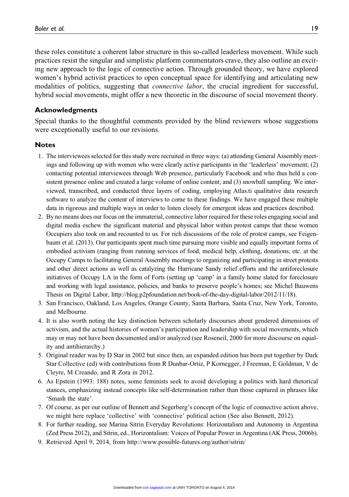these roles constitute a coherent labor structure in this so-called leaderless movement. While such practices resist the singular and simplistic platform commentators crave, they also outline an exciting new approach to the logic of connective action. Through grounded theory, we have explored women's hybrid activist practices to open conceptual space for identifying and articulating new modalities of politics, suggesting that *connective labor*, the crucial ingredient for successful, hybrid social movements, might offer a new theoretic in the discourse of social movement theory.

#### Acknowledgments

Special thanks to the thoughtful comments provided by the blind reviewers whose suggestions were exceptionally useful to our revisions.

#### **Notes**

- 1. The interviewees selected for this study were recruited in three ways: (a) attending General Assembly meetings and following up with women who were clearly active participants in the 'leaderless' movement; (2) contacting potential interviewees through Web presence, particularly Facebook and who thus held a consistent presence online and created a large volume of online content; and (3) snowball sampling. We interviewed, transcribed, and conducted three layers of coding, employing Atlas.ti qualitative data research software to analyze the content of interviews to come to these findings. We have engaged these multiple data in rigorous and multiple ways in order to listen closely for emergent ideas and practices described.
- 2. By no means does our focus on the immaterial, connective labor required for these roles engaging social and digital media eschew the significant material and physical labor within protest camps that these women Occupiers also took on and recounted to us. For rich discussions of the role of protest camps, see Feigenbaum et al. (2013). Our participants spent much time pursuing more visible and equally important forms of embodied activism (ranging from running services of food, medical help, clothing, donations, etc. at the Occupy Camps to facilitating General Assembly meetings to organizing and participating in street protests and other direct actions as well as catalyzing the Hurricane Sandy relief efforts and the antiforeclosure initiatives of Occupy LA in the form of Forts (setting up 'camp' in a family home slated for foreclosure and working with legal assistance, policies, and banks to preserve people's homes; see Michel Bauwens Thesis on Digital Labor, [http://blog.p2pfoundation.net/book-of-the-day-digital-labor/2012/11/18\).](http://blog.p2pfoundation.net/book-of-the-day-digital-labor/2012/11/18)
- 3. San Francisco, Oakland, Los Angeles, Orange County, Santa Barbara, Santa Cruz, New York, Toronto, and Melbourne.
- 4. It is also worth noting the key distinction between scholarly discourses about gendered dimensions of activism, and the actual histories of women's participation and leadership with social movements, which may or may not have been documented and/or analyzed (see Roseneil, 2000 for more discourse on equality and antihierarchy.)
- 5. Original reader was by D Star in 2002 but since then, an expanded edition has been put together by Dark Star Collective (ed) with contributions from R Dunbar-Ortiz, P Kornegger, J Freeman, E Goldman, V de Cleyre, M Creando, and R Zora in 2012.
- 6. As Epstein (1993: 188) notes, some feminists seek to avoid developing a politics with hard rhetorical stances, emphasizing instead concepts like self-determination rather than those captured in phrases like 'Smash the state'.
- 7. Of course, as per our outline of Bennett and Segerberg's concept of the logic of connective action above, we might here replace 'collective' with 'connective' political action (See also Bennett, 2012).
- 8. For further reading, see Marina Sitrin Everyday Revolutions: Horizontalism and Autonomy in Argentina (Zed Press 2012), and Sitrin, ed., Horizontalism: Voices of Popular Power in Argentina (AK Press, 2006b).
- 9. Retrieved April 9, 2014, from http://www.possible-futures.org/author/sitrin/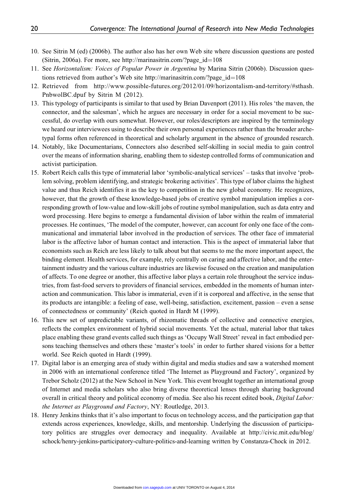- 10. See Sitrin M (ed) (2006b). The author also has her own Web site where discussion questions are posted (Sitrin, 2006a). For more, see [http://marinasitrin.com/?page\\_id](http://marinasitrin.com/?page_id=108)=[108](http://marinasitrin.com/?page_id=108)
- 11. See Horizontalism: Voices of Popular Power in Argentina by Marina Sitrin (2006b). Discussion questions retrieved from author's Web site [http://marinasitrin.com/?page\\_id](http://marinasitrin.com/?page_id=108)=[108](http://marinasitrin.com/?page_id=108)
- 12. Retrieved from [http://www.possible-futures.org/2012/01/09/horizontalism-and-territory/#sthash.](http://www.possible-futures.org/2012/01/09/horizontalism-and-territory/#sthash.PnbwolBC.dpuf) [PnbwolBC.dpuf](http://www.possible-futures.org/2012/01/09/horizontalism-and-territory/#sthash.PnbwolBC.dpuf) by Sitrin M (2012).
- 13. This typology of participants is similar to that used by Brian Davenport (2011). His roles 'the maven, the connector, and the salesman', which he argues are necessary in order for a social movement to be successful, do overlap with ours somewhat. However, our roles/descriptors are inspired by the terminology we heard our interviewees using to describe their own personal experiences rather than the broader archetypal forms often referenced in theoretical and scholarly argument in the absence of grounded research.
- 14. Notably, like Documentarians, Connectors also described self-skilling in social media to gain control over the means of information sharing, enabling them to sidestep controlled forms of communication and activist participation.
- 15. Robert Reich calls this type of immaterial labor 'symbolic-analytical services' tasks that involve 'problem solving, problem identifying, and strategic brokering activities'. This type of labor claims the highest value and thus Reich identifies it as the key to competition in the new global economy. He recognizes, however, that the growth of these knowledge-based jobs of creative symbol manipulation implies a corresponding growth of low-value and low-skill jobs of routine symbol manipulation, such as data entry and word processing. Here begins to emerge a fundamental division of labor within the realm of immaterial processes. He continues, 'The model of the computer, however, can account for only one face of the communicational and immaterial labor involved in the production of services. The other face of immaterial labor is the affective labor of human contact and interaction. This is the aspect of immaterial labor that economists such as Reich are less likely to talk about but that seems to me the more important aspect, the binding element. Health services, for example, rely centrally on caring and affective labor, and the entertainment industry and the various culture industries are likewise focused on the creation and manipulation of affects. To one degree or another, this affective labor plays a certain role throughout the service industries, from fast-food servers to providers of financial services, embedded in the moments of human interaction and communication. This labor is immaterial, even if it is corporeal and affective, in the sense that its products are intangible: a feeling of ease, well-being, satisfaction, excitement, passion – even a sense of connectedness or community' (Reich quoted in Hardt M (1999).
- 16. This new set of unpredictable variants, of rhizomatic threads of collective and connective energies, reflects the complex environment of hybrid social movements. Yet the actual, material labor that takes place enabling these grand events called such things as 'Occupy Wall Street' reveal in fact embodied persons teaching themselves and others these 'master's tools' in order to further shared visions for a better world. See Reich quoted in Hardt (1999).
- 17. Digital labor is an emerging area of study within digital and media studies and saw a watershed moment in 2006 with an international conference titled 'The Internet as Playground and Factory', organized by Trebor Scholz (2012) at the New School in New York. This event brought together an international group of Internet and media scholars who also bring diverse theoretical lenses through sharing background overall in critical theory and political economy of media. See also his recent edited book, Digital Labor: the Internet as Playground and Factory, NY: Routledge, 2013.
- 18. Henry Jenkins thinks that it's also important to focus on technology access, and the participation gap that extends across experiences, knowledge, skills, and mentorship. Underlying the discussion of participatory politics are struggles over democracy and inequality. Available at [http://civic.mit.edu/blog/](http://civic.mit.edu/blog/schock/henry-jenkins-participatory-culture-politics-and-learning) [schock/henry-jenkins-participatory-culture-politics-and-learning](http://civic.mit.edu/blog/schock/henry-jenkins-participatory-culture-politics-and-learning) written by Constanza-Chock in 2012.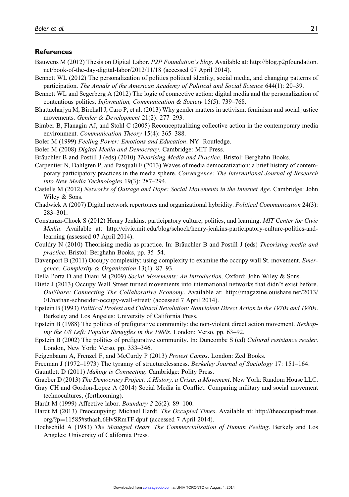#### References

- Bauwens M (2012) Thesis on Digital Labor. P2P Foundation's blog. Available at: [http://blog.p2pfoundation.](http://blog.p2pfoundation.net/book-of-the-day-digital-labor/2012/11/18) [net/book-of-the-day-digital-labor/2012/11/18](http://blog.p2pfoundation.net/book-of-the-day-digital-labor/2012/11/18) (accessed 07 April 2014).
- Bennett WL (2012) The personalization of politics political identity, social media, and changing patterns of participation. The Annals of the American Academy of Political and Social Science 644(1): 20–39.
- Bennett WL and Segerberg A (2012) The logic of connective action: digital media and the personalization of contentious politics. Information, Communication & Society 15(5): 739–768.
- Bhattacharjya M, Birchall J, Caro P, et al. (2013) Why gender matters in activism: feminism and social justice movements. Gender & Development 21(2): 277–293.
- Bimber B, Flanagin AJ, and Stohl C (2005) Reconceptualizing collective action in the contemporary media environment. *Communication Theory* 15(4): 365–388.
- Boler M (1999) Feeling Power: Emotions and Education. NY: Routledge.
- Boler M (2008) Digital Media and Democracy. Cambridge: MIT Press.
- Bräuchler B and Postill J (eds) (2010) Theorising Media and Practice. Bristol: Berghahn Books.
- Carpentier N, Dahlgren P, and Pasquali F (2013) Waves of media democratization: a brief history of contemporary participatory practices in the media sphere. Convergence: The International Journal of Research into New Media Technologies 19(3): 287–294.
- Castells M (2012) Networks of Outrage and Hope: Social Movements in the Internet Age. Cambridge: John Wiley & Sons.
- Chadwick A (2007) Digital network repertoires and organizational hybridity. Political Communication 24(3): 283–301.
- Constanza-Chock S (2012) Henry Jenkins: participatory culture, politics, and learning. MIT Center for Civic Media. Available at: [http://civic.mit.edu/blog/schock/henry-jenkins-participatory-culture-politics-and](http://civic.mit.edu/blog/schock/henry-jenkins-participatory-culture-politics-and-learning)[learning](http://civic.mit.edu/blog/schock/henry-jenkins-participatory-culture-politics-and-learning) (assessed 07 April 2014).
- Couldry N (2010) Theorising media as practice. In: Bräuchler B and Postill J (eds) *Theorising media and* practice. Bristol: Berghahn Books, pp. 35–54.
- Davenport B (2011) Occupy complexity: using complexity to examine the occupy wall St. movement. *Emer*gence: Complexity & Organization 13(4): 87–93.
- Della Porta D and Diani M (2009) Social Movements: An Introduction. Oxford: John Wiley & Sons.
- Dietz J (2013) Occupy Wall Street turned movements into international networks that didn't exist before. OuiShare: Connecting The Collaborative Economy. Available at: [http://magazine.ouishare.net/2013/](http://magazine.ouishare.net/2013/01/nathan-schneider-occupy-wall-street/) [01/nathan-schneider-occupy-wall-street/](http://magazine.ouishare.net/2013/01/nathan-schneider-occupy-wall-street/) (accessed 7 April 2014).
- Epstein B (1993) Political Protest and Cultural Revolution: Nonviolent Direct Action in the 1970s and 1980s. Berkeley and Los Angeles: University of California Press.
- Epstein B (1988) The politics of prefigurative community: the non-violent direct action movement. Reshaping the US Left: Popular Struggles in the 1980s. London: Verso, pp. 63–92.
- Epstein B (2002) The politics of prefigurative community. In: Duncombe S (ed) Cultural resistance reader. London, New York: Verso, pp. 333–346.
- Feigenbaum A, Frenzel F, and McCurdy P (2013) Protest Camps. London: Zed Books.
- Freeman J (1972–1973) The tyranny of structurelessness. *Berkeley Journal of Sociology* 17: 151–164.
- Gauntlett D (2011) Making is Connecting. Cambridge: Polity Press.
- Graeber D (2013) The Democracy Project: A History, a Crisis, a Movement. New York: Random House LLC.
- Gray CH and Gordon-Lopez A (2014) Social Media in Conflict: Comparing military and social movement technocultures, (forthcoming).
- Hardt M (1999) Affective labor. Boundary 2 26(2): 89–100.
- Hardt M (2013) Preoccupying: Michael Hardt. The Occupied Times. Available at: [http://theoccupiedtimes.](http://theoccupiedtimes.org/?p=11585#sthash.6HvSRmTF.dpuf) [org/?p](http://theoccupiedtimes.org/?p=11585#sthash.6HvSRmTF.dpuf)=[11585#sthash.6HvSRmTF.dpuf](http://theoccupiedtimes.org/?p=11585#sthash.6HvSRmTF.dpuf) (accessed 7 April 2014).
- Hochschild A (1983) The Managed Heart. The Commercialisation of Human Feeling. Berkely and Los Angeles: University of California Press.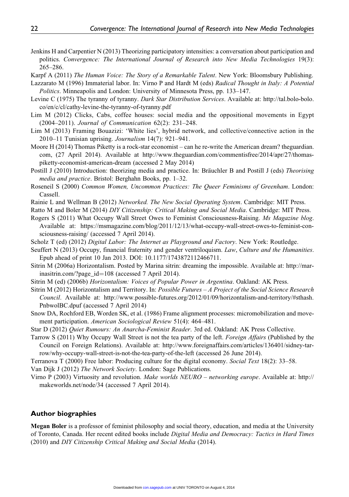- Jenkins H and Carpentier N (2013) Theorizing participatory intensities: a conversation about participation and politics. Convergence: The International Journal of Research into New Media Technologies 19(3): 265–286.
- Karpf A (2011) The Human Voice: The Story of a Remarkable Talent. New York: Bloomsbury Publishing.
- Lazzarato M (1996) Immaterial labor. In: Virno P and Hardt M (eds) Radical Thought in Italy: A Potential Politics. Minneapolis and London: University of Minnesota Press, pp. 133–147.
- Levine C (1975) The tyranny of tyranny. Dark Star Distribution Services. Available at: [http://tal.bolo-bolo.](http://tal.bolo-bolo.co/en/c/cl/cathy-levine-the-tyranny-of-tyranny.pdf) [co/en/c/cl/cathy-levine-the-tyranny-of-tyranny.pdf](http://tal.bolo-bolo.co/en/c/cl/cathy-levine-the-tyranny-of-tyranny.pdf)
- Lim M (2012) Clicks, Cabs, coffee houses: social media and the oppositional movements in Egypt (2004–2011). Journal of Communication 62(2): 231–248.
- Lim M (2013) Framing Bouazizi: 'White lies', hybrid network, and collective/connective action in the 2010–11 Tunisian uprising. Journalism 14(7): 921–941.
- Moore H (2014) Thomas Piketty is a rock-star economist can he re-write the American dream? theguardian. com, (27 April 2014). Available at [http://www.theguardian.com/commentisfree/2014/apr/27/thomas](http://www.theguardian.com/commentisfree/2014/apr/27/thomas-piketty-economist-american-dream)[piketty-economist-american-dream](http://www.theguardian.com/commentisfree/2014/apr/27/thomas-piketty-economist-american-dream) (accessed 2 May 2014)
- Postill J (2010) Introduction: theorizing media and practice. In: Bräuchler B and Postill J (eds) Theorising media and practice. Bristol: Berghahn Books, pp. 1–32.
- Roseneil S (2000) Common Women, Uncommon Practices: The Queer Feminisms of Greenham. London: Cassell.
- Rainie L and Wellman B (2012) Networked. The New Social Operating System. Cambridge: MIT Press.
- Ratto M and Boler M (2014) DIY Citizenship: Critical Making and Social Media. Cambridge: MIT Press.
- Rogers S (2011) What Occupy Wall Street Owes to Feminist Consciousness-Raising. Ms Magazine blog. Available at: [https://msmagazine.com/blog/2011/12/13/what-occupy-wall-street-owes-to-feminist-con](https://msmagazine.com/blog/2011/12/13/what-occupy-wall-street-owes-to-feminist-consciousness-raising/)[sciousness-raising/](https://msmagazine.com/blog/2011/12/13/what-occupy-wall-street-owes-to-feminist-consciousness-raising/) (accessed 7 April 2014).
- Scholz T (ed) (2012) Digital Labor: The Internet as Playground and Factory. New York: Routledge.
- Seuffert N (2013) Occupy, financial fraternity and gender ventriloquism. Law, Culture and the Humanities. Epub ahead of print 10 Jan 2013. DOI: 10.1177/1743872112466711.
- Sitrin M (2006a) Horizontalism. Posted by Marina sitrin: dreaming the impossible. Available at: [http://mar](http://marinasitrin.com/?page_id=108)[inasitrin.com/?page\\_id](http://marinasitrin.com/?page_id=108)=[108](http://marinasitrin.com/?page_id=108) (accessed 7 April 2014).
- Sitrin M (ed) (2006b) Horizontalism: Voices of Popular Power in Argentina. Oakland: AK Press.
- Sitrin M (2012) Horizontalism and Territory. In: Possible Futures  $-A$  Project of the Social Science Research Council. Available at: [http://www.possible-futures.org/2012/01/09/horizontalism-and-territory/#sthash.](http://www.possible-futures.org/2012/01/09/horizontalism-and-territory/#sthash.PnbwolBC.dpuf) [PnbwolBC.dpuf](http://www.possible-futures.org/2012/01/09/horizontalism-and-territory/#sthash.PnbwolBC.dpuf) (accessed 7 April 2014)
- Snow DA, Rochford EB, Worden SK, et al. (1986) Frame alignment processes: micromobilization and movement participation. American Sociological Review 51(4): 464–481.
- Star D (2012) Quiet Rumours: An Anarcha-Feminist Reader. 3rd ed. Oakland: AK Press Collective.
- Tarrow S (2011) Why Occupy Wall Street is not the tea party of the left. Foreign Affairs (Published by the Council on Foreign Relations). Available at: [http://www.foreignaffairs.com/articles/136401/sidney-tar](http://www.foreignaffairs.com/articles/136401/sidney-tarrow/why-occupy-wall-street-is-not-the-tea-party-of-the-left)[row/why-occupy-wall-street-is-not-the-tea-party-of-the-left](http://www.foreignaffairs.com/articles/136401/sidney-tarrow/why-occupy-wall-street-is-not-the-tea-party-of-the-left) (accessed 26 June 2014).
- Terranova T (2000) Free labor: Producing culture for the digital economy. Social Text 18(2): 33–58.
- Van Dijk J (2012) The Network Society. London: Sage Publications.
- Virno P (2003) Virtuosity and revolution. Make worlds NEURO networking europe. Available at: [http://](http://makeworlds.net/node/34) [makeworlds.net/node/34](http://makeworlds.net/node/34) (accessed 7 April 2014).

#### Author biographies

Megan Boler is a professor of feminist philosophy and social theory, education, and media at the University of Toronto, Canada. Her recent edited books include Digital Media and Democracy: Tactics in Hard Times (2010) and DIY Citizenship Critical Making and Social Media (2014).